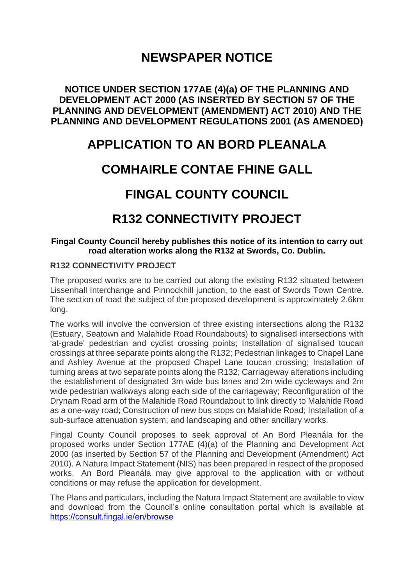## **NEWSPAPER NOTICE**

#### **NOTICE UNDER SECTION 177AE (4)(a) OF THE PLANNING AND DEVELOPMENT ACT 2000 (AS INSERTED BY SECTION 57 OF THE PLANNING AND DEVELOPMENT (AMENDMENT) ACT 2010) AND THE PLANNING AND DEVELOPMENT REGULATIONS 2001 (AS AMENDED)**

### **APPLICATION TO AN BORD PLEANALA**

### **COMHAIRLE CONTAE FHINE GALL**

# **FINGAL COUNTY COUNCIL**

# **R132 CONNECTIVITY PROJECT**

#### **Fingal County Council hereby publishes this notice of its intention to carry out road alteration works along the R132 at Swords, Co. Dublin.**

#### **R132 CONNECTIVITY PROJECT**

The proposed works are to be carried out along the existing R132 situated between Lissenhall Interchange and Pinnockhill junction, to the east of Swords Town Centre. The section of road the subject of the proposed development is approximately 2.6km long.

The works will involve the conversion of three existing intersections along the R132 (Estuary, Seatown and Malahide Road Roundabouts) to signalised intersections with 'at-grade' pedestrian and cyclist crossing points; Installation of signalised toucan crossings at three separate points along the R132; Pedestrian linkages to Chapel Lane and Ashley Avenue at the proposed Chapel Lane toucan crossing; Installation of turning areas at two separate points along the R132; Carriageway alterations including the establishment of designated 3m wide bus lanes and 2m wide cycleways and 2m wide pedestrian walkways along each side of the carriageway; Reconfiguration of the Drynam Road arm of the Malahide Road Roundabout to link directly to Malahide Road as a one-way road; Construction of new bus stops on Malahide Road; Installation of a sub-surface attenuation system; and landscaping and other ancillary works.

Fingal County Council proposes to seek approval of An Bord Pleanála for the proposed works under Section 177AE (4)(a) of the Planning and Development Act 2000 (as inserted by Section 57 of the Planning and Development (Amendment) Act 2010). A Natura Impact Statement (NIS) has been prepared in respect of the proposed works. An Bord Pleanála may give approval to the application with or without conditions or may refuse the application for development.

The Plans and particulars, including the Natura Impact Statement are available to view and download from the Council's online consultation portal which is available at <https://consult.fingal.ie/en/browse>